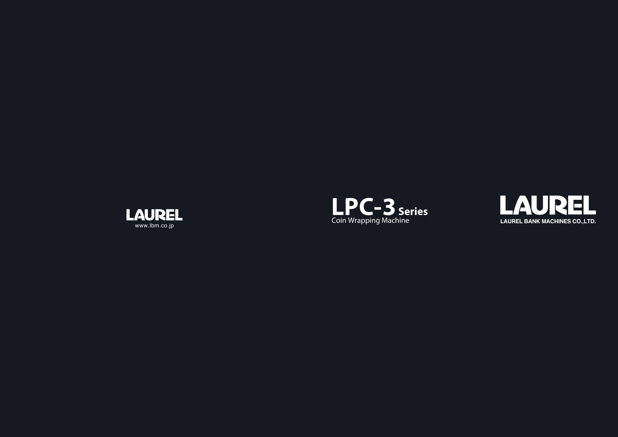